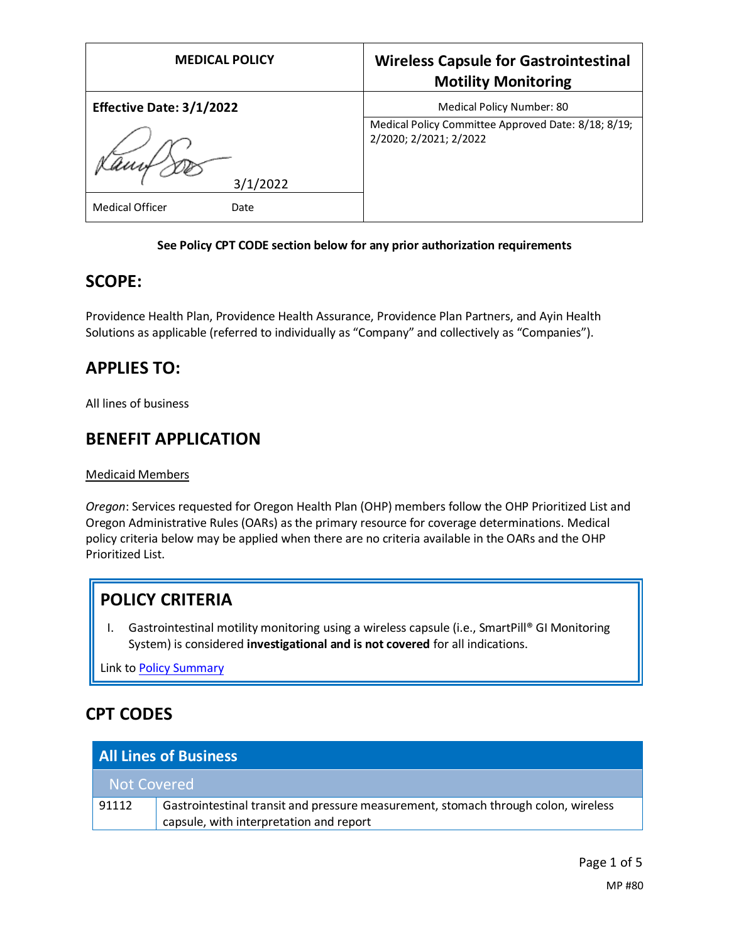| <b>MEDICAL POLICY</b>           | <b>Wireless Capsule for Gastrointestinal</b><br><b>Motility Monitoring</b>    |
|---------------------------------|-------------------------------------------------------------------------------|
| <b>Effective Date: 3/1/2022</b> | Medical Policy Number: 80                                                     |
| 3/1/2022                        | Medical Policy Committee Approved Date: 8/18; 8/19;<br>2/2020; 2/2021; 2/2022 |
| <b>Medical Officer</b><br>Date  |                                                                               |

### **See Policy CPT CODE section below for any prior authorization requirements**

## **SCOPE:**

Providence Health Plan, Providence Health Assurance, Providence Plan Partners, and Ayin Health Solutions as applicable (referred to individually as "Company" and collectively as "Companies").

# **APPLIES TO:**

All lines of business

# **BENEFIT APPLICATION**

#### Medicaid Members

*Oregon*: Services requested for Oregon Health Plan (OHP) members follow the OHP Prioritized List and Oregon Administrative Rules (OARs) as the primary resource for coverage determinations. Medical policy criteria below may be applied when there are no criteria available in the OARs and the OHP Prioritized List.

# **POLICY CRITERIA**

I. Gastrointestinal motility monitoring using a wireless capsule (i.e., SmartPill® GI Monitoring System) is considered **investigational and is not covered** for all indications.

Link t[o Policy Summary](#page-3-0)

# **CPT CODES**

| <b>All Lines of Business</b> |                                                                                                                               |
|------------------------------|-------------------------------------------------------------------------------------------------------------------------------|
| Not Covered                  |                                                                                                                               |
| 91112                        | Gastrointestinal transit and pressure measurement, stomach through colon, wireless<br>capsule, with interpretation and report |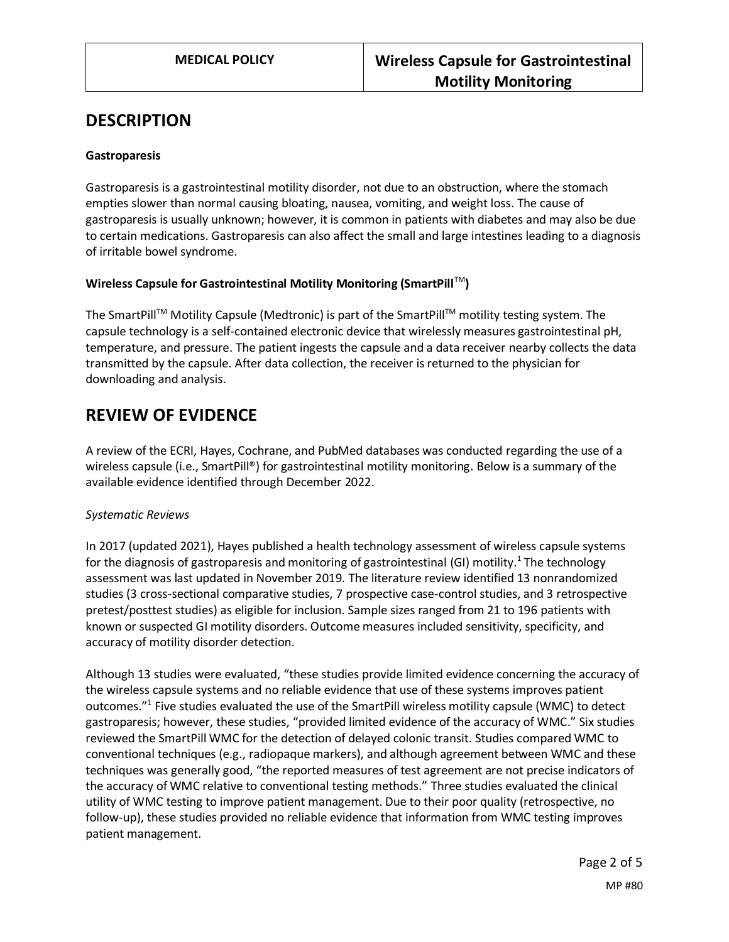## **DESCRIPTION**

## **Gastroparesis**

Gastroparesis is a gastrointestinal motility disorder, not due to an obstruction, where the stomach empties slower than normal causing bloating, nausea, vomiting, and weight loss. The cause of gastroparesis is usually unknown; however, it is common in patients with diabetes and may also be due to certain medications. Gastroparesis can also affect the small and large intestines leading to a diagnosis of irritable bowel syndrome.

## Wireless Capsule for Gastrointestinal Motility Monitoring (SmartPill<sup>™</sup>)

The SmartPill<sup>™</sup> Motility Capsule (Medtronic) is part of the SmartPill™ motility testing system. The capsule technology is a self-contained electronic device that wirelessly measures gastrointestinal pH, temperature, and pressure. The patient ingests the capsule and a data receiver nearby collects the data transmitted by the capsule. After data collection, the receiver is returned to the physician for downloading and analysis.

## **REVIEW OF EVIDENCE**

A review of the ECRI, Hayes, Cochrane, and PubMed databases was conducted regarding the use of a wireless capsule (i.e., SmartPill®) for gastrointestinal motility monitoring. Below is a summary of the available evidence identified through December 2022.

#### *Systematic Reviews*

In 2017 (updated 2021), Hayes published a health technology assessment of wireless capsule systems for the diagnosis of gastroparesis and monitoring of gastrointestinal (GI) motility.<sup>1</sup> The technology assessment was last updated in November 2019. The literature review identified 13 nonrandomized studies (3 cross-sectional comparative studies, 7 prospective case-control studies, and 3 retrospective pretest/posttest studies) as eligible for inclusion. Sample sizes ranged from 21 to 196 patients with known or suspected GI motility disorders. Outcome measures included sensitivity, specificity, and accuracy of motility disorder detection.

Although 13 studies were evaluated, "these studies provide limited evidence concerning the accuracy of the wireless capsule systems and no reliable evidence that use of these systems improves patient outcomes."<sup>1</sup> Five studies evaluated the use of the SmartPill wireless motility capsule (WMC) to detect gastroparesis; however, these studies, "provided limited evidence of the accuracy of WMC." Six studies reviewed the SmartPill WMC for the detection of delayed colonic transit. Studies compared WMC to conventional techniques (e.g., radiopaque markers), and although agreement between WMC and these techniques was generally good, "the reported measures of test agreement are not precise indicators of the accuracy of WMC relative to conventional testing methods." Three studies evaluated the clinical utility of WMC testing to improve patient management. Due to their poor quality (retrospective, no follow-up), these studies provided no reliable evidence that information from WMC testing improves patient management.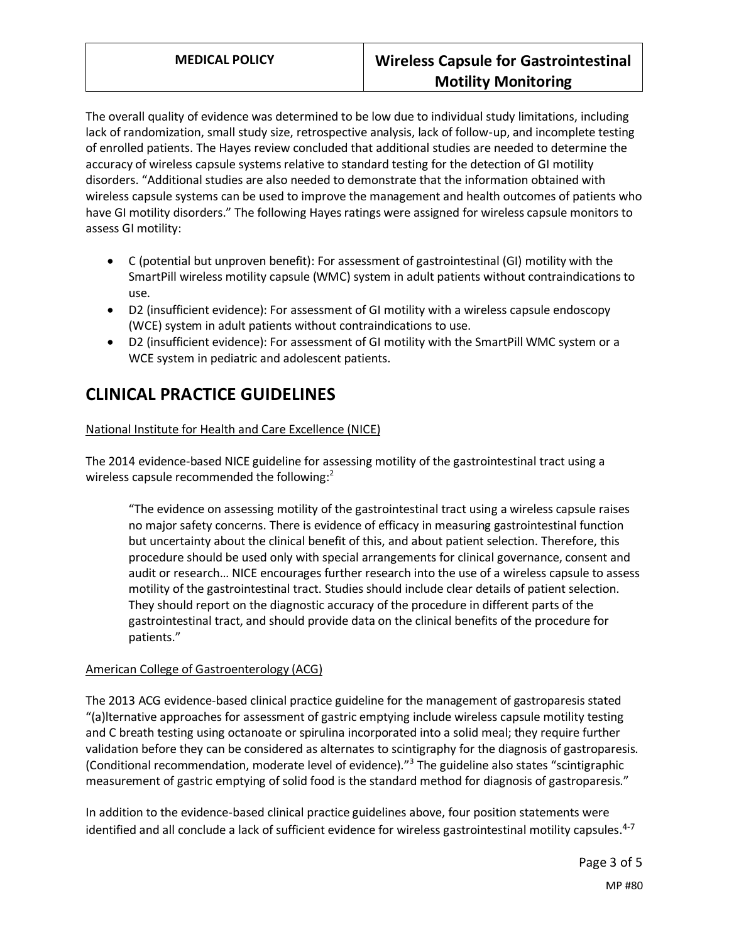The overall quality of evidence was determined to be low due to individual study limitations, including lack of randomization, small study size, retrospective analysis, lack of follow-up, and incomplete testing of enrolled patients. The Hayes review concluded that additional studies are needed to determine the accuracy of wireless capsule systems relative to standard testing for the detection of GI motility disorders. "Additional studies are also needed to demonstrate that the information obtained with wireless capsule systems can be used to improve the management and health outcomes of patients who have GI motility disorders." The following Hayes ratings were assigned for wireless capsule monitors to assess GI motility:

- C (potential but unproven benefit): For assessment of gastrointestinal (GI) motility with the SmartPill wireless motility capsule (WMC) system in adult patients without contraindications to use.
- D2 (insufficient evidence): For assessment of GI motility with a wireless capsule endoscopy (WCE) system in adult patients without contraindications to use.
- D2 (insufficient evidence): For assessment of GI motility with the SmartPill WMC system or a WCE system in pediatric and adolescent patients.

# **CLINICAL PRACTICE GUIDELINES**

## National Institute for Health and Care Excellence (NICE)

The 2014 evidence-based NICE guideline for assessing motility of the gastrointestinal tract using a wireless capsule recommended the following:<sup>2</sup>

"The evidence on assessing motility of the gastrointestinal tract using a wireless capsule raises no major safety concerns. There is evidence of efficacy in measuring gastrointestinal function but uncertainty about the clinical benefit of this, and about patient selection. Therefore, this procedure should be used only with special arrangements for clinical governance, consent and audit or research… NICE encourages further research into the use of a wireless capsule to assess motility of the gastrointestinal tract. Studies should include clear details of patient selection. They should report on the diagnostic accuracy of the procedure in different parts of the gastrointestinal tract, and should provide data on the clinical benefits of the procedure for patients."

## American College of Gastroenterology (ACG)

The 2013 ACG evidence-based clinical practice guideline for the management of gastroparesis stated "(a)lternative approaches for assessment of gastric emptying include wireless capsule motility testing and C breath testing using octanoate or spirulina incorporated into a solid meal; they require further validation before they can be considered as alternates to scintigraphy for the diagnosis of gastroparesis. (Conditional recommendation, moderate level of evidence).<sup>"3</sup> The guideline also states "scintigraphic measurement of gastric emptying of solid food is the standard method for diagnosis of gastroparesis."

In addition to the evidence-based clinical practice guidelines above, four position statements were identified and all conclude a lack of sufficient evidence for wireless gastrointestinal motility capsules.<sup>4-7</sup>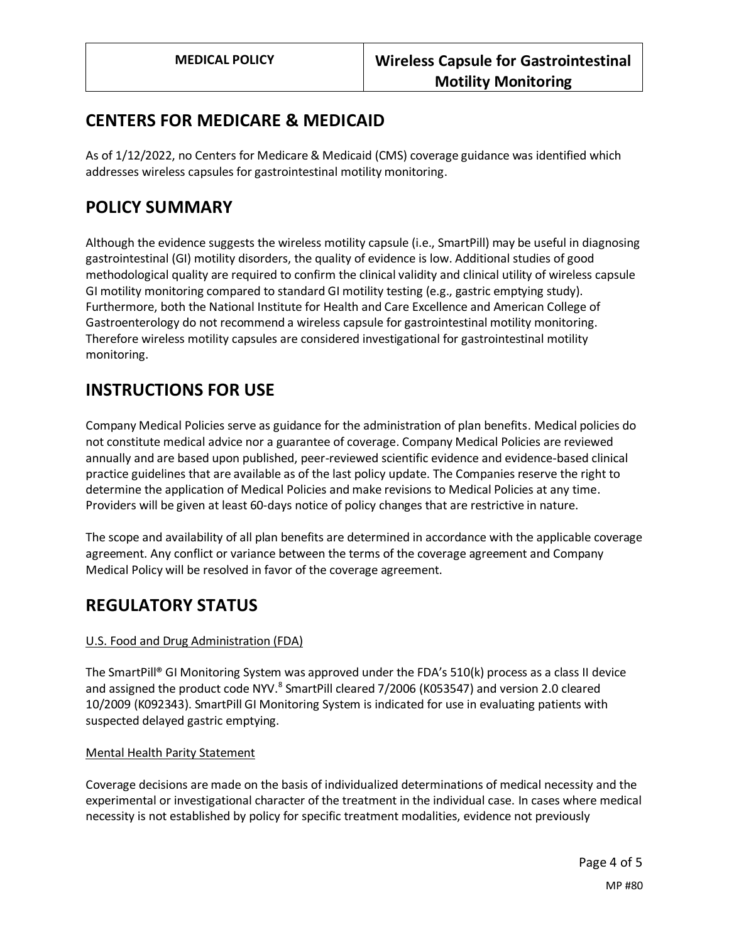## <span id="page-3-0"></span>**CENTERS FOR MEDICARE & MEDICAID**

As of 1/12/2022, no Centers for Medicare & Medicaid (CMS) coverage guidance was identified which addresses wireless capsules for gastrointestinal motility monitoring.

# **POLICY SUMMARY**

Although the evidence suggests the wireless motility capsule (i.e., SmartPill) may be useful in diagnosing gastrointestinal (GI) motility disorders, the quality of evidence is low. Additional studies of good methodological quality are required to confirm the clinical validity and clinical utility of wireless capsule GI motility monitoring compared to standard GI motility testing (e.g., gastric emptying study). Furthermore, both the National Institute for Health and Care Excellence and American College of Gastroenterology do not recommend a wireless capsule for gastrointestinal motility monitoring. Therefore wireless motility capsules are considered investigational for gastrointestinal motility monitoring.

# **INSTRUCTIONS FOR USE**

Company Medical Policies serve as guidance for the administration of plan benefits. Medical policies do not constitute medical advice nor a guarantee of coverage. Company Medical Policies are reviewed annually and are based upon published, peer-reviewed scientific evidence and evidence-based clinical practice guidelines that are available as of the last policy update. The Companies reserve the right to determine the application of Medical Policies and make revisions to Medical Policies at any time. Providers will be given at least 60-days notice of policy changes that are restrictive in nature.

The scope and availability of all plan benefits are determined in accordance with the applicable coverage agreement. Any conflict or variance between the terms of the coverage agreement and Company Medical Policy will be resolved in favor of the coverage agreement.

# **REGULATORY STATUS**

## U.S. Food and Drug Administration (FDA)

The SmartPill® GI Monitoring System was approved under the FDA's 510(k) process as a class II device and assigned the product code NYV. $^8$  SmartPill cleared 7/2006 (K053547) and version 2.0 cleared 10/2009 (K092343). SmartPill GI Monitoring System is indicated for use in evaluating patients with suspected delayed gastric emptying.

#### Mental Health Parity Statement

Coverage decisions are made on the basis of individualized determinations of medical necessity and the experimental or investigational character of the treatment in the individual case. In cases where medical necessity is not established by policy for specific treatment modalities, evidence not previously